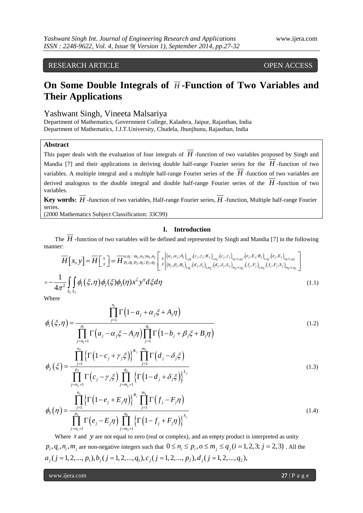RESEARCH ARTICLE OPEN ACCESS

# On Some Double Integrals of  $\overline{H}$ -Function of Two Variables and **Their Applications**

Yashwant Singh, Vineeta Malsariya

Department of Mathematics, Government College, Kaladera, Jaipur, Rajasthan, India Department of Mathematics, J.J.T.University, Chudela, Jhunjhunu, Rajasthan, India

## **Abstract**

This paper deals with the evaluation of four integrals of *H* -function of two variables proposed by Singh and Mandia [7] and their applications in deriving double half-range Fourier series for the *H* -function of two variables. A multiple integral and a multiple half-range Fourier series of the *H* -function of two variables are derived analogous to the double integral and double half-range Fourier series of the *H* -function of two variables.

**Key words:** *H* -function of two variables, Half-range Fourier series, *H* -function, Multiple half-range Fourier series.

(2000 Mathematics Subject Classification: 33C99)

## **I. Introduction**

The *H* -function of two variables will be defined and represented by Singh and Mandia [7] in the following ner:<br>  $\overline{H}[\mathbf{x}, \mathbf{y}] = \overline{H}[\mathbf{x}] = \overline{H}^{o, n_1: m_2, n_2; m_3, n_2}_{p_1, p_2, p_3, p_4} [\mathbf{x}] = \left[\mathbf{x} \left[ \left( a_j, a_j; A_j \right)_{$ manner:

**1.** Introduction  
\nThen, 
$$
\overline{H}
$$
-function of two variables will be defined and represented by Singh and Mandia [7] in the following manner:  
\n
$$
\overline{H}[x, y] = \overline{H} \begin{bmatrix} x \\ y \end{bmatrix} = \overline{H} \begin{bmatrix} x \\ y \end{bmatrix} = \overline{H} \begin{bmatrix} x \\ p_1, q_1: p_2, q_2: p_3, n_2 \end{bmatrix} \begin{bmatrix} x \\ x \\ y \end{bmatrix} \begin{bmatrix} (a_j, a_j; A_j)_{1, p_1}, (c_j, y_j; K_j)_{1, p_2}, (c_j, y_j)_{p_2+1, p_2}, (e_j, E_j; R_j)_{1, p_3}, (e_j, E_j)_{p_3+1, p_3} \\ (b_j, \beta_j: B_j)_{1, q_1}, (d_j, \delta_j)_{1, m_2}, (d_j, \delta_j: L_j)_{m_2+1, q_2}, (f_j, F_j)_{1, m_3}, (f_j, F_j; S_j)_{m_3+1, q_3} \end{bmatrix}
$$
\n
$$
= -\frac{1}{4\pi^2} \iint_{L_1} \oint_{L_2} \oint_{L_1} (\xi, \eta) \oint_{2} (\xi) \oint_{3} (\eta) x^{\xi} y^{\eta} d\xi d\eta
$$
\n(1.1)

Where

Where  
\n
$$
\phi_{1}(\xi,\eta) = \frac{\prod_{j=1}^{n_{1}} \Gamma(1-a_{j} + \alpha_{j}\xi + A_{j}\eta)}{\prod_{j=n_{1}+1}^{p_{1}} \Gamma(a_{j} - \alpha_{j}\xi - A_{j}\eta) \prod_{j=1}^{q_{1}} \Gamma(1-b_{j} + \beta_{j}\xi + B_{j}\eta)}
$$
\n
$$
\prod_{j=1}^{n_{2}} \left\{\Gamma(1-c_{j} + \gamma_{j}\xi)\right\}^{K_{j}} \prod_{j=1}^{m_{2}} \Gamma(d_{j} - \delta_{j}\xi)
$$
\n(1.2)

$$
\phi_2(\xi) = \frac{\prod_{j=n_1+1}^{n_2} {\left\{ \Gamma\left(1-c_j + \gamma_j \xi\right) \right\}}^{\kappa_j} \prod_{j=1}^{m_2} {\Gamma\left(d_j - \delta_j \xi\right)} }{\prod_{j=n_2+1}^{p_2} \Gamma\left(c_j - \gamma_j \xi\right) \prod_{j=m_2+1}^{q_2} {\left\{ \Gamma\left(1-d_j + \delta_j \xi\right) \right\}}^{\kappa_j}} \tag{1.3}
$$

$$
\prod_{j=n_2+1} \Gamma(c_j - \gamma_j \xi) \prod_{j=m_2+1} \{ \Gamma(1 - d_j + \delta_j \xi) \}^j
$$
  

$$
\phi_3(\eta) = \frac{\prod_{j=1}^{n_3} \{ \Gamma(1 - e_j + E_j \eta) \}^{R_j} \prod_{j=1}^{m_3} \Gamma(f_j - F_j \eta)}{\prod_{j=n_3+1}^{p_3} \Gamma(e_j - E_j \eta) \prod_{j=m_3+1}^{q_3} \{ \Gamma(1 - f_j + F_j \eta) \}^{S_j}}
$$
(1.4)

Where  $x$  and  $y$  are not equal to zero (real or complex), and an empty product is interpreted as unity Where *x* and *y* are not equal to zero (real or complex), and an empty product is interpreted as unity  $p_i, q_i, n_i, m_j$  are non-negative integers such that  $0 \le n_i \le p_i, o \le m_j \le q_j (i = 1, 2, 3; j = 2, 3)$ . All the  $a_j$  ( $j = 1,2,..., p_1$ ),  $b_j$  ( $j = 1,2,..., q_1$ ),  $c_j$  ( $j = 1,2,..., p_2$ ),  $d_j$  ( $j = 1,2,..., q_2$ ),

www.ijera.com **27** | P a g e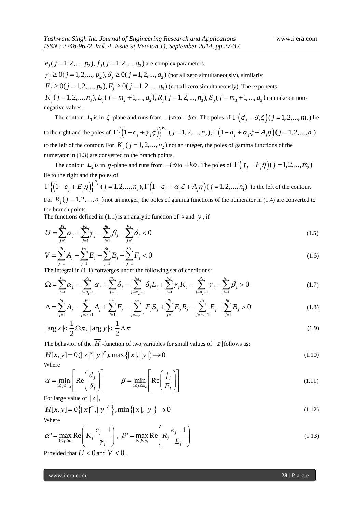$e_j$  (  $j = 1, 2, ..., p_3$  ),  $f_j$  (  $j = 1, 2, ..., q_3$  ) are complex parameters.  $e_j$  (  $j = 1, 2, ..., p_3$  ),  $f_j$  (  $j = 1, 2, ..., q_3$  ) are complex parameters.<br>  $\gamma_j \ge 0$  (  $j = 1, 2, ..., p_2$  ),  $\delta_j \ge 0$  (  $j = 1, 2, ..., q_2$  ) (not all zero simultaneously), similarly  $\gamma_j \ge 0$ ( $j = 1, 2, ..., p_2$ ),  $\delta_j \ge 0$ ( $j = 1, 2, ..., q_2$ ) (not all zero simultaneously), similarly<br>  $E_j \ge 0$ ( $j = 1, 2, ..., p_3$ ),  $F_j \ge 0$ ( $j = 1, 2, ..., q_3$ ) (not all zero simultaneously). The exponents  $\gamma_j \ge 0$  ( $j = 1, 2, ..., p_2$ ),  $\delta_j \ge 0$  ( $j = 1, 2, ..., q_2$ ) (not all zero simultaneously), similarly<br>  $E_j \ge 0$  ( $j = 1, 2, ..., p_3$ ),  $F_j \ge 0$  ( $j = 1, 2, ..., q_3$ ) (not all zero simultaneously). The exponents<br>  $K_j$  ( $j = 1, 2, ..., n_3$ ),  $L$ can take on nonnegative values.

The contour  $L_1$  is in  $\xi$ -plane and runs from  $-i\infty$  to  $+i\infty$ . The poles of  $\Gamma((d_j - \delta_j \xi)(j = 1, 2, ..., m_2))$  lie to the right and the poles of ane and runs from  $-i\infty$  to  $+i\infty$ . The poles of  $\Gamma((d_j - \delta_j \xi)(j = 1, 2, ..., m_2))$  li<br>  $\{(1-c_j + \gamma_j \xi)\}^{K_j} (j = 1, 2, ..., n_2), \Gamma((1 - a_j + \alpha_j \xi + A_j \eta)(j = 1, 2, ..., n_1))$ *K j* plane and runs from  $-i\infty$  to  $+i\infty$ . The poles of  $\Gamma\left(d_j - \delta_j \xi\right)$  ( $j = 1, 2, ..., m_2$ ) lie<br>  $\Gamma\left\{\left(1 - c_j + \gamma_j \xi\right)\right\}^{K_j}$  ( $j = 1, 2, ..., n_2$ ),  $\Gamma\left(1 - a_j + \alpha_j \xi + A_j \eta\right)$  ( $j = 1, 2, ..., n_1$ ) to the left of the contour. For  $K_j$  ( $j = 1, 2, ..., n_2$ ) not an integer, the poles of gamma functions of the numerator in  $(1.3)$  are converted to the branch points.

The contour  $L_2$  is in  $\eta$ -plane and runs from  $-i\infty$  to  $+i\infty$ . The poles of  $\Gamma\left(f_j - F_j\eta\right)(j = 1, 2, ..., m_3)$ lie to the right and the poles of The contour  $L_2$  is in  $\eta$ -plane and runs from  $-i\infty$  to  $+i\infty$ . The poles of  $\Gamma\left(f_j\right)$ <br>lie to the right and the poles of<br> $\Gamma\left\{\left(1-e_j+E_j\eta\right)\right\}^{\frac{R_j}{j}}$  ( $j=1,2,...,n_3$ ),  $\Gamma\left(1-a_j+\alpha_j\xi+A_j\eta\right)$  ( $j=1,2,...,n_1$ )

$$
\Gamma\left\{\left(1-e_j+E_j\eta\right)\right\}^{R_j} (j=1,2,...,n_3), \Gamma\left(1-a_j+\alpha_j\xi+A_j\eta\right) (j=1,2,...,n_1)
$$
 to the left of the contour.  
For *R* (i = 1, 2, ..., n.) not an integer, the poles of gamma functions of the numerator in (1, 4) are converted to

For  $R_j$  ( $j = 1, 2, ..., n_3$ ) not an integer, the poles of gamma functions of the numerator in (1.4) are converted to the branch points.

The functions defined in (1.1) is an analytic function of *x* and *y*, if  
\n
$$
U = \sum_{j=1}^{p_1} \alpha_j + \sum_{j=1}^{p_2} \gamma_j - \sum_{j=1}^{q_1} \beta_j - \sum_{j=1}^{q_2} \delta_j < 0
$$
\n(1.5)

$$
V = \sum_{j=1}^{p_1} A_j + \sum_{j=1}^{p_3} E_j - \sum_{j=1}^{q_3} B_j - \sum_{j=1}^{q_3} F_j < 0
$$
  
\nThe integral in (1.1) converges under the following set of conditions:  
\n
$$
\Omega = \sum_{j=1}^{n_1} \alpha_j - \sum_{j=n_1+1}^{p_1} \alpha_j + \sum_{j=1}^{m_2} \delta_j - \sum_{j=m_2+1}^{q_2} \delta_j L_j + \sum_{j=1}^{n_2} \gamma_j K_j - \sum_{j=n_2+1}^{q_1} \gamma_j - \sum_{j=1}^{q_1} \beta_j > 0
$$
\n(1.7)

The integral in (1.1) converges under the following set of conditions:  
\n
$$
\Omega = \sum_{j=1}^{n_1} \alpha_j - \sum_{j=n_1+1}^{p_1} \alpha_j + \sum_{j=1}^{m_2} \delta_j - \sum_{j=m_2+1}^{q_2} \delta_j L_j + \sum_{j=1}^{n_2} \gamma_j K_j - \sum_{j=n_2+1}^{p_2} \gamma_j - \sum_{j=1}^{q_1} \beta_j > 0
$$
\n
$$
\Lambda = \sum_{j=1}^{n_1} A_j - \sum_{j=n_1+1}^{p_1} A_j + \sum_{j=1}^{m_2} F_j - \sum_{j=m_2+1}^{q_2} F_j S_j + \sum_{j=1}^{n_3} E_j R_j - \sum_{j=n_2+1}^{p_3} E_j - \sum_{j=1}^{q_1} B_j > 0
$$
\n(1.8)

$$
\Lambda = \sum_{j=1}^{n_1} A_j - \sum_{j=n_1+1}^{p_1} A_j + \sum_{j=1}^{m_2} F_j - \sum_{j=m_2+1}^{q_2} F_j S_j + \sum_{j=1}^{n_3} E_j R_j - \sum_{j=n_2+1}^{p_3} E_j - \sum_{j=1}^{q_1} B_j > 0
$$
\n(1.8)

$$
\begin{aligned}\n &\text{arg } x &< \frac{1}{2} \Omega \pi, \text{ } \arg y &< \frac{1}{2} \Lambda \pi\n \end{aligned}\n \quad\n \begin{aligned}\n &\text{arg } x &< \frac{1}{2} \Omega \pi, \text{ } \arg y &< \frac{1}{2} \Lambda \pi\n \end{aligned}\n \tag{1.9}
$$

The behavior of the 
$$
\overline{H}
$$
-function of two variables for small values of  $|z|$  follows as:  
\n
$$
\overline{H}[x, y] = O(|x|^{\alpha} |y|^{\beta}), \max\{|x|, |y|\} \to 0
$$
\n(1.10)

Where

$$
\alpha = \min_{1 \le j \le m_2} \left[ \text{Re} \left( \frac{d_j}{\delta_j} \right) \right] \qquad \beta = \min_{1 \le j \le m_2} \left[ \text{Re} \left( \frac{f_j}{F_j} \right) \right]
$$
(1.11)

For large value of 
$$
|z|
$$
,  
\n
$$
\overline{H}[x, y] = O\{|x|^{\alpha'}, |y|^{\beta'}\}, \min\{|x|, |y|\} \to 0
$$
\n(1.12)  
\nWhere

 $1 \leq j \leq n_2$  $\mathbf{R} = \max_{1 \le j \le n_2} \mathbf{R} \mathbf{e} \left( K_j \frac{c_j - 1}{\gamma_j} \right)$ *c*  $\alpha' = \max_{1 \le j \le n_2} \text{Re} \left( K_j \frac{\sigma_j}{\gamma} \right)$  $\begin{pmatrix} c_i-1 \end{pmatrix}$  $=\max_{1\leq j\leq n_2} \text{Re}\left(K_j \frac{c_j-1}{\gamma_j}\right), \ \beta'=\max_{1\leq j\leq n_3}$  $\mathbf{R} = \max_{1 \le j \le n_3} \text{Re} \left( R_j \frac{e_j - 1}{E_j} \right)$ *e R E*  $\beta' = \max_{1 \le j \le n_3}$  $\begin{pmatrix} e_i-1 \end{pmatrix}$  $=\max_{1\leq j\leq n_3}\text{Re}\left(R_j\frac{e_j-1}{E_j}\right)$ (1.13)

Provided that  $U < 0$  and  $V < 0$ .

www.ijera.com **28** | P a g e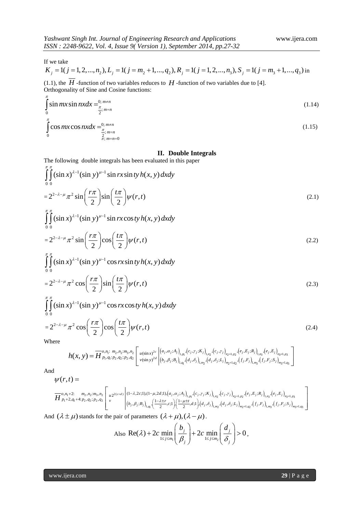If we take

Yashwant Singh Int. Journal of Engineering Research and Applications  
\nISSN : 2248-9622, Vol. 4, Issue 9( Version 1), September 2014, pp.27-32\n\nIf we take\n
$$
K_j = 1(j = 1, 2, ..., n_2), L_j = 1(j = m_2 + 1, ..., q_2), R_j = 1(j = 1, 2, ..., n_3), S_j = 1(j = m_3 + 1, ..., q_3)
$$
in

(1.1), the  $H$  -function of two variables reduces to  $H$  -function of two variables due to [4]. Orthogonality of Sine and Cosine functions:

$$
\int_{0}^{\pi} \sin mx \sin nx dx = \frac{0; m \neq n}{\frac{\pi}{2}; m = n}
$$
\n(1.14)

$$
\int_{0}^{\pi} \cos mx \cos nx dx = \frac{0; m \neq n}{\frac{\pi}{2}; m = n}
$$
\n(1.15)

### **II. Double Integrals**

The following double integrals has been evaluated in this paper  
\n
$$
\int_{0}^{\pi} \int_{0}^{\pi} (\sin x)^{\lambda-1} (\sin y)^{\mu-1} \sin rx \sin ty \, h(x, y) \, dx dy
$$
\n
$$
= 2^{2-\lambda-\mu} \pi^2 \sin \left( \frac{r\pi}{2} \right) \sin \left( \frac{t\pi}{2} \right) \psi(r, t)
$$
\n
$$
\int_{0}^{\pi} \int_{0}^{\pi} (\sin x)^{\lambda-1} (\sin y)^{\mu-1} \sin rx \cos ty \, h(x, y) \, dx dy
$$
\n(2.1)

<sup>1</sup>(sin v)<sup> $\mu-1$ </sup>  $\int\limits_{0}^{1}$ (x)  $\int_{-\pi}^{\pi} \int_{0}^{\pi} (\sin x)^{\lambda-1} (\sin y)^{\mu-1} \sin rx \cos ty \, h(x, y) \, dx \, dy$ 

$$
=2^{2-\lambda-\mu}\pi^2\sin\left(\frac{r\pi}{2}\right)\cos\left(\frac{t\pi}{2}\right)\psi(r,t)
$$
\n(2.2)

<sup>1</sup>(sin v)<sup> $\mu-1$ </sup>  $\int\limits_{0}^{1}$ (x) (x)  $\int_{-\pi}^{\pi} \int_{0}^{\pi} (\sin x)^{\lambda-1} (\sin y)^{\mu-1} \cos rx \sin ty \, h(x, y) \, dx \, dy$  $= 2^{-\pi/2} \pi^2 \sin \left( \frac{\pi}{2} \right) \cos \left( \frac{\pi}{2} \right)$ <br> $\int_{0}^{\pi} \int_{0}^{\pi} (\sin x)^{\lambda-1} (\sin y)^{\mu-1} \cos \theta$ 

$$
=2^{2-\lambda-\mu}\pi^2\cos\left(\frac{r\pi}{2}\right)\sin\left(\frac{t\pi}{2}\right)\psi(r,t)
$$
\n(2.3)

<sup>1</sup>(sin v)<sup> $\mu-1$ </sup>  $\int\limits_{0}^{1}$ (2) (2)<br> $\int_{-\pi}^{\pi} \int_{0}^{\pi} (\sin x)^{\lambda-1} (\sin y)^{\mu-1} \cos rx \cos ty \, h(x, y) \, dx dy$  $= 2^{2-\pi/4} \pi^2 \cos \left(\frac{\pi}{2}\right) \sin \left(\frac{\pi}{2} \int_0^{\pi} \sin x \right)^{\pi}$ <br> $\int_0^{\pi} \int_0^{\pi} (\sin x)^{\pi/4} (\sin y)^{\mu-1} \cos \theta$ 

$$
=2^{2-\lambda-\mu}\pi^{2}\cos\left(\frac{r\pi}{2}\right)\cos\left(\frac{t\pi}{2}\right)\psi(r,t)
$$
\nWhere

\n
$$
h(x,y)=\overline{H}^{o,\eta_{1}:m_{2},\eta_{2}:m_{3},n_{2}}_{p_{1},q_{1}:p_{2},q_{2}:p_{2},q_{2}}\left[u(\sin x)^{2c}\left|\left(a_{j},a_{j};A_{j}\right)_{1,p_{1}}(c_{j},y_{j};K_{j}\right)_{1,p_{2}}(c_{j},y_{j})_{n_{2}+1,p_{2}}(e_{j},E_{j};R_{j}\right)_{1,p_{3}}(e_{j},E_{j})_{n_{3}+1,p_{3}}\right]
$$
\n(2.4)

Where

$$
\pi \cos\left(\frac{1}{2}\right)^{\cos\left(\frac{1}{2}\right)^{W(r,t)}} \tag{2.4}
$$
\n
$$
h(x, y) = \overline{H}^{o, n_i : m_2, n_2 : m_3, n_2}_{p_1, q_1: p_2, q_2: p_2, q_2} \left[ u(\sin x)^{2c} \left| \left( a_j, \alpha_j; A_j \right)_{1, \rho_1}, \left( c_j, \gamma_j; K_j \right)_{1, \rho_2}, \left( c_j, \gamma_j \right)_{n_2+1, \rho_2}, \left( e_j, E_j; R_j \right)_{1, \rho_3}, \left( e_j, E_j \right)_{n_3+1, \rho_3} \right]
$$
\n
$$
(r, t) = \pi \left[ \frac{1}{\sqrt{\pi}} \left[ \frac{1}{\sqrt{\pi}} \left( \frac{1}{\sqrt{\pi}} \right)^{\frac{2c}{c}} \left| \left( b_j, \beta_j; B_j \right)_{1, \rho_1}, \left( d_j, \delta_j \right)_{1, \rho_2}, \left( d_j, \delta_j; L_j \right)_{n_2+1, \rho_2}, \left( f_j, F_j \right)_{1, \rho_3}, \left( f_j, F_j; S_j \right)_{n_3+1, \rho_3} \right]
$$
\n
$$
= \pi \left[ \frac{1}{\sqrt{\pi}} \left[ \frac{1}{\sqrt{\pi}} \left( \frac{1}{\sqrt{\pi}} \right)^{\frac{2c}{c}} \left| \left( b_j, \beta_j; B_j \right)_{1, \rho_1}, \left( d_j, \delta_j \right)_{1, \rho_2}, \left( d_j, \delta_j; L_j \right)_{n_2+1, \rho_2}, \left( f_j, F_j \right)_{1, \rho_3}, \left( f_j, F_j; S_j \right)_{n_3+1, \rho_3} \right]
$$
\n
$$
= \pi \left[ \frac{1}{\sqrt{\pi}} \left[ \frac{1}{\sqrt{\pi}} \left( \frac{1}{\sqrt{\pi}} \right)^{\frac{2c}{c}} \left| \left( b_j, \beta_j; B_j \right)_{1, \rho_1}, \left( d_j, \delta_j; L_j \right)_{1, \rho_2}, \left( d_j, \delta_j; L_j \right)_{n_2+1, \rho_2}, \left( f_j, F_j \right)_{
$$

And

$$
\psi(r,t) =
$$

$$
W(r,t) = \frac{W(r,t)}{H_{p_1+2,q_1+2,p_2,q_2,p_2,q_2}} \left[ \int_{\nu(\sin y)^{2d}}^{\nu(\sin y)^{2d}} \left| \left( b_j, \beta_j; B_j \right)_{l,q_1} \left( d_j, \delta_j \right)_{l,m_2} \left( d_j, \delta_j; L_j \right)_{m_2+l,q_2} \left( f_j, F_j \right)_{l,m_3} \left( f_j, F_j; S_j \right)_{m_3+l,q_3} \right] \right]
$$
\n
$$
W(r,t) = \frac{W(r,t)}{H_{p_1+2,q_1+2,p_2,q_2,p_2,q_2}} \left[ \int_{\nu}^{u_2(1)} \left| \left( 1-\lambda, 2c; 1 \right), (1-\mu, 2d; 1), (a_j, \alpha_j; A_j)_{l,n_1} \left( c_j, \gamma_j; K_j \right)_{l,n_2} \left( c_j, \gamma_j \right)_{m_2+l,n_2} \left( e_j, E_j; R_j \right)_{l,n_3} \left( e_j, E_j \right)_{m_3+l,n_3} \right] \right]
$$
\n
$$
W(r,t) = \frac{W(r,t)}{W_{p_1+2,q_1+2,p_2,q_2,p_2,q_2}} \left[ \int_{\nu}^{u_2(1)} \left| \left( 1-\lambda, 2c; 1 \right), (1-\mu, 2d; 1), (a_j, \alpha_j; A_j)_{l,n_1} \left( c_j, \gamma_j; K_j \right)_{l,n_2} \left( d_j, \delta_j; L_j \right)_{m_2+l,n_2} \left( f_j, F_j; R_j \right)_{l,n_3+l,n_3} \right] \right]
$$
\n
$$
W(r,t) = \frac{W(r,t)}{W_{p_1+2,q_1+2,p_2,q_2,p_2,q_2}} \left[ \int_{\nu}^{u_2(1)} \left| \left( 1-\lambda, 2c; 1 \right), (1-\mu, 2d; 1), (a_j, \alpha_j; A_j)_{l,n_1} \left( c_j, \gamma_j; K_j \right)_{l,n_2} \left( d_j, \delta_j; L_j \right)_{m_2+l,n_2} \left( f_j, F_j; R_j \right)_{l,n_3+l,n_3} \right]
$$
\n
$$
W(r
$$

And 
$$
(\lambda \pm \mu)
$$
 stands for the pair of parameters  $(\lambda + \mu)$ ,  $(\lambda - \mu)$ .  
Also Re( $\lambda$ ) + 2*c* min  $\left(\frac{b_j}{\beta_j}\right)$  + 2*c* min  $\left(\frac{d_j}{\delta_j}\right)$  > 0,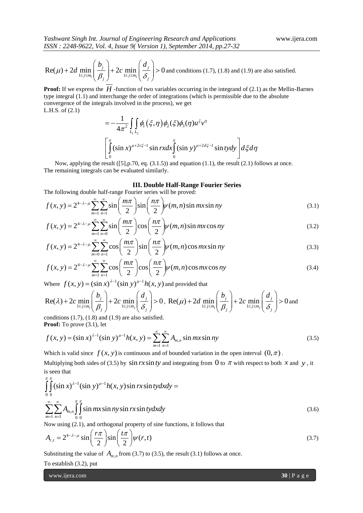*Yashwant Singh Int. Journal of Engineering Research and Applications* www.ijera.com *ISSN : 2248-9622, Vol. 4, Issue 9( Version 1), September 2014, pp.27-32*

Re(
$$
\mu
$$
) + 2d min<sub>1≤j≤m<sub>1</sub></sub>  $\left(\frac{b_j}{\beta_j}\right)$  + 2c min<sub>1≤j≤m<sub>2</sub></sub>  $\left(\frac{d_j}{\delta_j}\right)$  > 0 and conditions (1.7), (1.8) and (1.9) are also satisfied.

Proof: If we express the H -function of two variables occurring in the integrand of (2.1) as the Mellin-Barnes type integral (1.1) and interchange the order of integrations (which is permissible due to the absolute convergence of the integrals involved in the process), we get<br>L.H.S. of (2.1)<br> $= -\frac{1}{4\pi^2} \int_{I_1} \int_{I_2} \phi_1(\xi, \eta) \phi_2(\xi) \phi_3(\eta)$ L.H.S. of (2.1)

$$
= -\frac{1}{4\pi^2} \iint_{L_1} \phi_1(\xi, \eta) \phi_2(\xi) \phi_3(\eta) u^{\xi} v^{\eta}
$$
  

$$
\left[ \int_0^{\pi} (\sin x)^{\mu+2c\xi-1} \sin rx dx \int_0^{\pi} (\sin y)^{\mu+2d\xi-1} \sin ty dy \right] d\xi d\eta
$$

Now, applying the result  $(5]$ , p.70, eq.  $(3.1.5)$ ) and equation  $(1.1)$ , the result  $(2.1)$  follows at once. The remaining integrals can be evaluated similarly.

#### **III. Double Half-Range Fourier Series**

The following double half-range Fourier series will be proved:

4 1 1 ( , ) 2 sin sin ( , )sin sin *m n* 2 2 *m n f x y m n mx ny* (3.1) *m n f x y m n mx ny* 

The following double that-1 angle Fourier series with the proved.  
\n
$$
f(x, y) = 2^{4-\lambda-\mu} \sum_{m=1}^{\infty} \sum_{n=1}^{\infty} \sin\left(\frac{m\pi}{2}\right) \sin\left(\frac{n\pi}{2}\right) \psi(m, n) \sin mx \sin ny
$$
\n(3.1)  
\n
$$
f(x, y) = 2^{4-\lambda-\mu} \sum_{m=1}^{\infty} \sum_{n=0}^{\infty} \sin\left(\frac{m\pi}{2}\right) \cos\left(\frac{n\pi}{2}\right) \psi(m, n) \sin mx \cos ny
$$
\n(3.2)  
\n
$$
f(x, y) = 2^{4-\lambda-\mu} \sum_{m=0}^{\infty} \sum_{n=1}^{\infty} \cos\left(\frac{m\pi}{2}\right) \sin\left(\frac{n\pi}{2}\right) \psi(m, n) \cos mx \sin ny
$$
\n(3.3)

$$
f(x, y) = 2^{4-\lambda-\mu} \sum_{m=1}^{\infty} \sum_{n=0}^{\infty} \sin\left(\frac{m\pi}{2}\right) \cos\left(\frac{n\pi}{2}\right) \psi(m, n) \sin mx \cos ny
$$
\n
$$
f(x, y) = 2^{4-\lambda-\mu} \sum_{m=0}^{\infty} \sum_{n=1}^{\infty} \cos\left(\frac{m\pi}{2}\right) \sin\left(\frac{n\pi}{2}\right) \psi(m, n) \cos mx \sin ny
$$
\n
$$
f(x, y) = 2^{4-\lambda-\mu} \sum_{m=1}^{\infty} \sum_{n=1}^{\infty} \cos\left(\frac{m\pi}{2}\right) \cos\left(\frac{n\pi}{2}\right) \psi(m, n) \cos mx \cos ny
$$
\n(3.4)

$$
f(x, y) = 2^{4-\lambda-\mu} \sum_{m=0}^{\infty} \sum_{n=1}^{\infty} \cos\left(\frac{m\pi}{2}\right) \sin\left(\frac{n\pi}{2}\right) \psi(m, n) \cos mx \sin ny
$$
\n
$$
f(x, y) = 2^{4-\lambda-\mu} \sum_{m=1}^{\infty} \sum_{n=1}^{\infty} \cos\left(\frac{m\pi}{2}\right) \cos\left(\frac{n\pi}{2}\right) \psi(m, n) \cos mx \cos ny
$$
\n(3.4)

$$
\lim_{m=1} \frac{1}{n-1} \left( \frac{2}{\sqrt{2}} \right) \left( \frac{2}{\sqrt{2}} \right)
$$
\nWhere  $f(x, y) = (\sin x)^{\lambda - 1} (\sin y)^{\mu - 1} h(x, y)$  and provided that

\n
$$
\text{Re}(\lambda) + 2c \min_{1 \le j \le m_1} \left( \frac{b_j}{\beta_j} \right) + 2c \min_{1 \le j \le m_2} \left( \frac{d_j}{\delta_j} \right) > 0, \text{ Re}(\mu) + 2d \min_{1 \le j \le m_1} \left( \frac{b_j}{\beta_j} \right) + 2c \min_{1 \le j \le m_2} \left( \frac{d_j}{\delta_j} \right) > 0 \text{ and}
$$
\nconditions (1.7) (1.8) and (1.0) are also satisfied.

conditions  $(1.7)$ ,  $(1.8)$  and  $(1.9)$  are also satisfied. **Proof:** To prove (3.1), let

$$
\lim_{1 \le j \le m_1} \left( \beta_j \right)
$$
  
conditions (1.7), (1.8) and (1.9) are also satisfied.  
**Proof:** To prove (3.1), let  

$$
f(x, y) = (\sin x)^{\lambda - 1} (\sin y)^{\mu - 1} h(x, y) = \sum_{m=1}^{\infty} \sum_{n=1}^{\infty} A_{m,n} \sin mx \sin ny
$$
(3.5)

Which is valid since  $f(x, y)$  is continuous and of bounded variation in the open interval  $(0, \pi)$ .

is seen that<br> $\pi \pi$ 

Multiplying both sides of (3.5) by 
$$
\sin rx \sin ty
$$
 and integrating from 0 to  $\pi$  with respect to both  $x$  and  $y$ , it  
\nis seen that\n
$$
\int_{0}^{\pi} \int_{0}^{\pi} (\sin x)^{\lambda-1} (\sin y)^{\mu-1} h(x, y) \sin rx \sin ty dx dy =
$$
\n
$$
\sum_{m=1}^{\infty} \sum_{n=1}^{\infty} A_{m,n} \int_{0}^{\pi} \int_{0}^{\pi} \sin mx \sin ny \sin rx \sin ty dx dy
$$
\n(3.6)

Now using (2.1), and orthogonal property of sine functions, it follows that  
\n
$$
A_{r,t} = 2^{4-\lambda-\mu} \sin\left(\frac{r\pi}{2}\right) \sin\left(\frac{t\pi}{2}\right) \psi(r,t)
$$
\n(3.7)

Substituting the value of  $A_{m,n}$  from (3.7) to (3.5), the result (3.1) follows at once.

To establish (3.2), put

www.ijera.com **30** | P a g e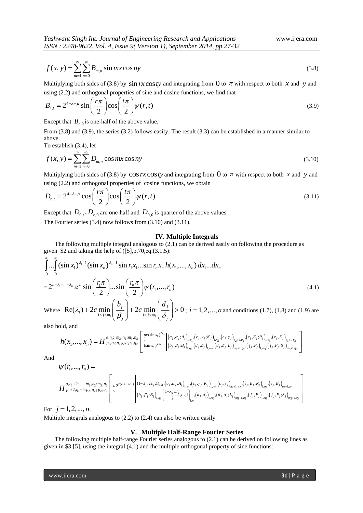$$
f(x, y) = \sum_{m=1}^{\infty} \sum_{n=0}^{\infty} B_{m,n} \sin mx \cos ny
$$
 (3.8)

Multiplying both sides of (3.8) by  $\sin rx \cos ty$  and integrating from 0 to  $\pi$  with respect to both x and y and

using (2.2) and orthogonal properties of sine and cosine functions, we find that  
\n
$$
B_{r,t} = 2^{4-\lambda-\mu} \sin\left(\frac{r\pi}{2}\right) \cos\left(\frac{t\pi}{2}\right) \psi(r,t)
$$
\n(3.9)

Except that  $B_{r,0}$  is one-half of the above value.

From (3.8) and (3.9), the series (3.2) follows easily. The result (3.3) can be established in a manner similar to above.

To establish (3.4), let

To establish (3.4), let  
\n
$$
f(x, y) = \sum_{m=1}^{\infty} \sum_{n=0}^{\infty} D_{m,n} \cos mx \cos ny
$$
\n(3.10)

Multiplying both sides of (3.8) by  $\cos rx \cos ty$  and integrating from  $\hat{0}$  to  $\pi$  with respect to both x and y and

using (2.2) and orthogonal properties of cosine functions, we obtain  
\n
$$
D_{r,t} = 2^{4-\lambda-\mu} \cos\left(\frac{r\pi}{2}\right) \cos\left(\frac{t\pi}{2}\right) \psi(r,t)
$$
\n(3.11)

Except that  $D_{0,t}$ ,  $D_{r,0}$  are one-half and  $D_{0,0}$  is quarter of the above values.

The Fourier series (3.4) now follows from (3.10) and (3.11).

### **IV. Multiple Integrals**

The following multiple integral analogous to (2.1) can be derived easily on following the procedure as given \$2 and taking the help of  $([5], p.70, eq.(3.1.5))$ :

**1V. Multiple Integrals**  
\nThe following multiple integral analogous to (2.1) can be derived easily on following the procedure as given \$2 and taking the help of ([5],p.70,eq.(3.1.5):  
\n
$$
\int_{0}^{\pi} \dots \int_{0}^{\pi} (\sin x_1)^{\lambda_1-1} (\sin x_n)^{\lambda_n-1} \sin r_1 x_1 \dots \sin r_n x_n h(x_1, ..., x_n) dx_1...dx_n
$$
\n
$$
= 2^{n-\lambda_1-...-\lambda_n} \pi^n \sin \left( \frac{r_1 \pi}{2} \right) \dots \sin \left( \frac{r_n \pi}{2} \right) \psi(r_1, ..., r_n)
$$
\n(4.1)  
\nWhere  $\text{Re}(\lambda_i) + 2c \min_{1 \le i \le m} \left( \frac{b_j}{\beta} \right) + 2c \min_{1 \le i \le m} \left( \frac{d_j}{\delta} \right) > 0; i = 1, 2, ..., n \text{ and conditions (1.7), (1.8) and (1.9) are$ 

Where  $\text{Re}(\lambda_i) + 2c \min_{1 \le j \le m_i} \left( \frac{b_j}{\beta_j} \right) + 2c \min_{1 \le j \le m_2} \left( \frac{d_j}{\delta_j} \right) > 0$  $\min_{1 \leq j \leq m_1} \left( \frac{b_j}{\beta_j} \right) + 2c \min_{1 \leq j \leq m_2} \left( \frac{d_j}{\delta_j} \right) > 0$ + 2c min  $\left(\frac{b_j}{\beta_j}\right)$  + 2c min  $\left(\frac{d_j}{\delta_j}\right)$  > 0; *i* =  $\; i = 1, 2, \ldots, n$  and conditions (1.7), (1.8) and (1.9) are

also hold, and

$$
h(x_1,...,x_n) = \overline{H}^{o,n_1; n_2, n_2; n_3, n_2}_{p_1, q_1; p_2, q_2; p_2, q_2} \left[\sum_{\substack{(si \ (si \ n x_n)^{2c_n}}} \delta_j \right)^{1/2c_1} \left[\sum_{\substack{(a_j, a_j; A_j)_{1, p_1}, (c_j, r_j; K_j)_{1, p_2}, (c_j, r_j)_{m_2+1, p_2}, (e_j, E_j; R_j)_{1, q_3}, (e_j, E_j)_{m_3+1, p_3}}} \left[\sum_{\substack{(si \ (si \ n x_n)^{2c_n}}} \delta_j \right]^{w(\sin x_1)^{2c_1}} \left[\sum_{\substack{(a_j, a_j; A_j)_{1, p_1}, (c_j, r_j; K_j)_{1, p_2}, (d_j, \delta_j; L_j)_{m_2+1, q_2}, (f_j, F_j)_{1, m_3}, (f_j, F_j; S_j)_{m_3+1, q_3}}} \right]
$$
\n
$$
f(r_1,...,r_n) = \sum_{\substack{a_j \ (i,j \ n x_n)^{2c_j} \ (i,j \ n x_n)^{2c_j}}} \left[\sum_{\substack{(si \ n x_n)^{2c_n}}} \delta_j \left[\sum_{\substack{(b_j, b_j; B_j)_{1, q_1}, (d_j, \delta_j)_{1, p_2}, (d_j, \delta_j; L_j)_{m_2+1, q_2}, (f_j, F_j; S_j)_{m_3+1, q_3}}} \right]\right]
$$

And

 1 2 2 3 2 2( ... ) <sup>1</sup> 1, 1, 1, 1 2 1 1 2 2 2 2 1, 1, 1, 1, 1, 1 2 2 2 3 3 3 1, 1 , 2: , : , (1 ,2 ;1) , , ; , , ; , <sup>2</sup> 2, 4: , ; , <sup>1</sup> , ; , , ;1 , , , , ; , , , , ; 2 *c cn j j n j j j j j j p n j j j j j j j j j j j j j j j j q m m q m m q n n o n m n m n c a A c K c u p q p q p q <sup>v</sup> <sup>r</sup> b B c d d L f F f F S H* 1, 1, 1, 2 2 3 3 3 , , , ; , , *j j j j j j j n p n n p e E R e E* 

For  $j = 1, 2, ..., n$ .

Multiple integrals analogous to (2.2) to (2.4) can also be written easily.

#### **V. Multiple Half-Range Fourier Series**

The following multiple half-range Fourier series analogous to (2.1) can be derived on following lines as given in \$3 [5], using the integral (4.1) and the multiple orthogonal property of sine functions: